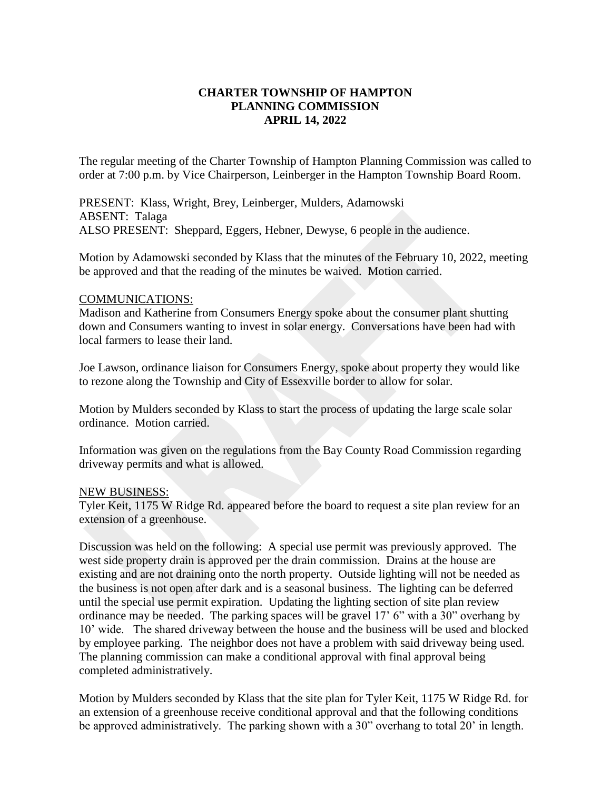# **CHARTER TOWNSHIP OF HAMPTON PLANNING COMMISSION APRIL 14, 2022**

The regular meeting of the Charter Township of Hampton Planning Commission was called to order at 7:00 p.m. by Vice Chairperson, Leinberger in the Hampton Township Board Room.

PRESENT: Klass, Wright, Brey, Leinberger, Mulders, Adamowski ABSENT: Talaga ALSO PRESENT: Sheppard, Eggers, Hebner, Dewyse, 6 people in the audience.

Motion by Adamowski seconded by Klass that the minutes of the February 10, 2022, meeting be approved and that the reading of the minutes be waived. Motion carried.

### COMMUNICATIONS:

Madison and Katherine from Consumers Energy spoke about the consumer plant shutting down and Consumers wanting to invest in solar energy. Conversations have been had with local farmers to lease their land.

Joe Lawson, ordinance liaison for Consumers Energy, spoke about property they would like to rezone along the Township and City of Essexville border to allow for solar.

Motion by Mulders seconded by Klass to start the process of updating the large scale solar ordinance. Motion carried.

Information was given on the regulations from the Bay County Road Commission regarding driveway permits and what is allowed.

#### NEW BUSINESS:

Tyler Keit, 1175 W Ridge Rd. appeared before the board to request a site plan review for an extension of a greenhouse.

Discussion was held on the following: A special use permit was previously approved. The west side property drain is approved per the drain commission. Drains at the house are existing and are not draining onto the north property. Outside lighting will not be needed as the business is not open after dark and is a seasonal business. The lighting can be deferred until the special use permit expiration. Updating the lighting section of site plan review ordinance may be needed. The parking spaces will be gravel 17' 6" with a 30" overhang by 10' wide. The shared driveway between the house and the business will be used and blocked by employee parking. The neighbor does not have a problem with said driveway being used. The planning commission can make a conditional approval with final approval being completed administratively.

Motion by Mulders seconded by Klass that the site plan for Tyler Keit, 1175 W Ridge Rd. for an extension of a greenhouse receive conditional approval and that the following conditions be approved administratively. The parking shown with a 30" overhang to total 20' in length.